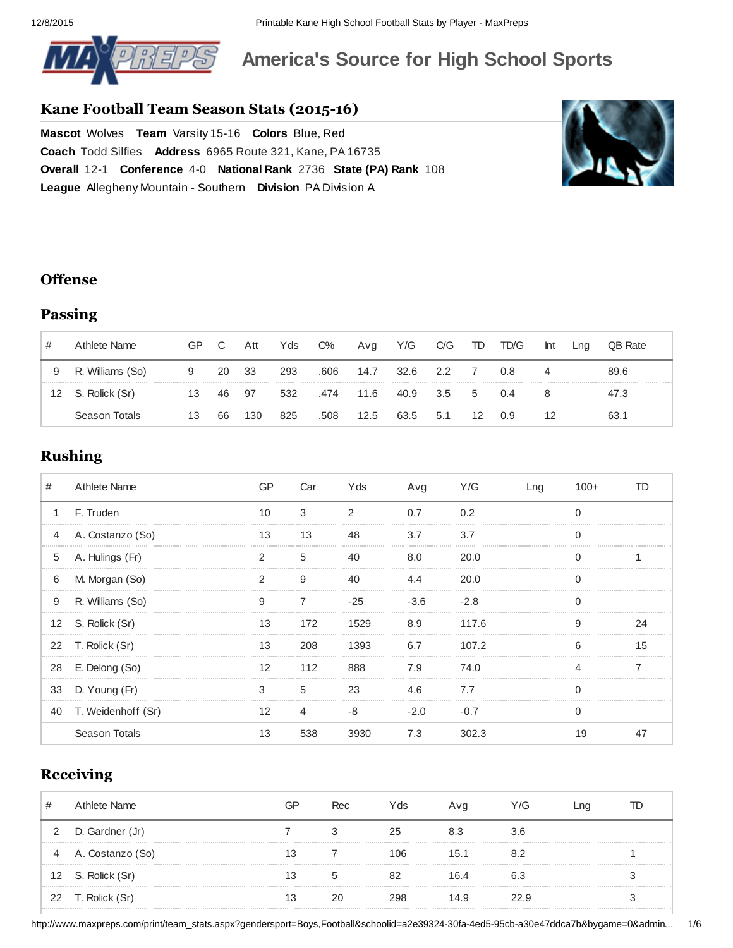

# **America's Source for High School Sports**

### **Kane Football Team Season Stats (201516)**

**Mascot** Wolves **Team** Varsity 15-16 **Colors** Blue, Red **Coach** Todd [Silfies](http://www.maxpreps.com/local/team/records/coaches.aspx?gendersport=boys,football&schoolid=a2e39324-30fa-4ed5-95cb-a30e47ddca7b) **Address** 6965 Route 321, Kane, PA [16735](http://www.maxpreps.com/high-schools/kane-wolves-(kane,pa)/map.htm) **Overall** [121](http://www.maxpreps.com/league/QefIjEHohkyq9ODQOFW21w/standings-allegheny-mountain---southern.htm) **Conference** [40](http://www.maxpreps.com/league/QefIjEHohkyq9ODQOFW21w/standings-allegheny-mountain---southern.htm) **National Rank** [2736](http://www.maxpreps.com/high-schools/kane-wolves-(kane,pa)/football/rankings.htm#national_rankings) **State (PA) Rank** [108](http://www.maxpreps.com/high-schools/kane-wolves-(kane,pa)/football/rankings.htm#state_rankings) **League** Allegheny Mountain Southern **Division** PA Division A



### **Offense**

## **Passing**

|    | Athlete Name     | GP | C  | Att | Yds | $C\%$ | Avg  | Y/G  | C/G  | TD           | TD/G | Int | Lng | <b>OB</b> Rate |
|----|------------------|----|----|-----|-----|-------|------|------|------|--------------|------|-----|-----|----------------|
| 9  | R. Williams (So) | 9  | 20 | -33 | 293 | .606  | 14.7 | 32.6 | 2.2  |              | 0.8  |     |     | 89.6           |
| 12 | S. Rolick (Sr)   | 13 | 46 | -97 | 532 | .474  | 11.6 | 40.9 | -3.5 | $\mathbf{b}$ | 0.4  |     |     | 47.3           |
|    | Season Totals    | 13 | 66 | 130 | 825 | .508  | 12.5 | 63.5 | 5.1  | 12           | 0.9  | 12  |     | 63.1           |

## **Rushing**

| #            | Athlete Name       |    | Car | Yds   | Avg           | Y/G    | Lng | 100+ |    |
|--------------|--------------------|----|-----|-------|---------------|--------|-----|------|----|
| $\mathbf{1}$ | F. Truden          |    | 3   | າ     | 0.7           | 0.2    |     |      |    |
| 4            | A. Costanzo (So)   | 13 | 13  | 48    |               | 3.7    |     |      |    |
| 5            | A. Hulings (Fr)    | っ  | 5   |       | 8.0           | 20.0   |     |      |    |
| 6            | M. Morgan (So)     |    | q   |       |               | 20.0   |     |      |    |
| 9            | R. Williams (So)   | q  |     | $-25$ | $-3.6$        | $-2.8$ |     |      |    |
|              | 12 S. Rolick (Sr)  |    | 172 | 1529  | 8.9           | 117.6  |     | g    |    |
|              | 22 T. Rolick (Sr)  | 13 | 208 | 1393  | 6.7 107.2     |        |     | հ    | 15 |
|              | 28 E. Delong (So)  |    | 112 | 888   | 7.9 74.0      |        |     |      |    |
|              | 33 D. Young (Fr)   |    | 5   | 23    | 4.6 7.7       |        |     |      |    |
| 40           | T. Weidenhoff (Sr) | 12 | 4   | -8    | $-2.0$ $-0.7$ |        |     |      |    |
|              | Season Totals      |    | 538 | 3930  | 7.3           | 302.3  |     |      |    |

## **Receiving**

|    | Athlete Name      | GP | Rec | Yds | Avg  | Y/G  | ∟ng | TD |
|----|-------------------|----|-----|-----|------|------|-----|----|
|    | D. Gardner (Jr)   |    |     | 25  |      | 3.6  |     |    |
| 4  | A. Costanzo (So)  |    |     | 106 | 15.1 | 82   |     |    |
|    | 12 S. Rolick (Sr) |    |     | 82  | 16.4 | 6.3  |     |    |
| 22 | T. Rolick (Sr)    |    | 20  | 298 | 14 9 | 22 Q |     |    |

http://www.maxpreps.com/print/team\_stats.aspx?gendersport=Boys,Football&schoolid=a2e39324-30fa-4ed5-95cb-a30e47ddca7b&bygame=0&admin... 1/6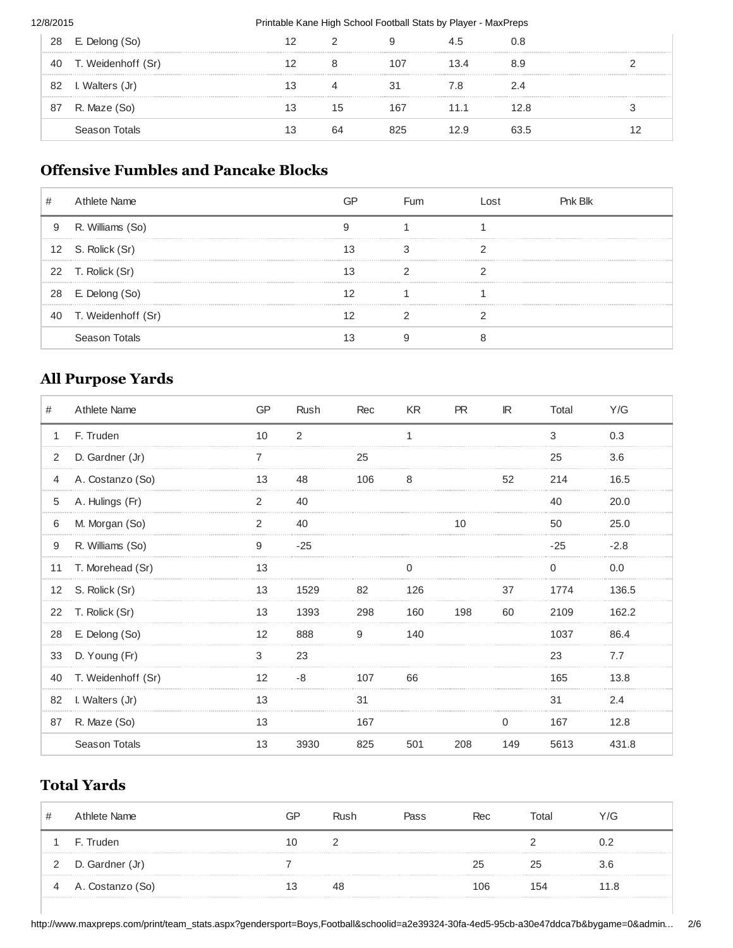#### 12/8/2015 **Printable Kane High School Football Stats by Player - MaxPreps**

| 28 | E. Delong (So)     | 12 |          |     |      | 0.8  |  |
|----|--------------------|----|----------|-----|------|------|--|
| 40 | T. Weidenhoff (Sr) |    |          | 107 | L3.4 | 8.9  |  |
| 82 | I. Walters (Jr)    | 13 | $\Delta$ |     | 6. / | 2.4  |  |
| 87 | R. Maze (So)       | 13 | 15       | 167 | 11 1 | 12 R |  |
|    | Season Totals      | 13 | 64       | 825 |      | 63.5 |  |

## **Offensive Fumbles and Pancake Blocks**

| # | Athlete Name          |    | Fum | nst | Pnk Blk |
|---|-----------------------|----|-----|-----|---------|
| 9 | R. Williams (So)      |    |     |     |         |
|   | 12 S. Rolick (Sr)     | 13 |     |     |         |
|   | 22 T. Rolick (Sr)     |    |     |     |         |
|   | 28 E. Delong (So)     |    |     |     |         |
|   | 40 T. Weidenhoff (Sr) |    |     |     |         |
|   | Season Totals         |    |     |     |         |

## **All Purpose Yards**

| #              | Athlete Name       | GP | Rush  | Rec | KR  | <b>PR</b> | IR           | Total | Y/G    |
|----------------|--------------------|----|-------|-----|-----|-----------|--------------|-------|--------|
| $\mathbf{1}$   | F. Truden          | 10 | 2     |     | 1   |           |              | 3     | 0.3    |
| 2              | D. Gardner (Jr)    |    |       | 25  |     |           |              | 25    | 3.6    |
| $\overline{4}$ | A. Costanzo (So)   | 13 | 48    | 106 | 8   |           | 52           | 214   | 16.5   |
| 5              | A. Hulings (Fr)    |    | 40    |     |     |           |              | 40    | 20.0   |
| 6              | M. Morgan (So)     | 2  | 40    |     |     | 10        |              | 50    | 25.0   |
| 9              | R. Williams (So)   | 9  | $-25$ |     |     |           |              | $-25$ | $-2.8$ |
| 11             | T. Morehead (Sr)   | 13 |       |     |     |           |              | 0     | 0.0    |
|                | 12 S. Rolick (Sr)  | 13 | 1529  | 82  | 126 |           | 37           | 1774  | 136.5  |
| 22             | T. Rolick (Sr)     | 13 | 1393  | 298 | 160 | 198       | 60           | 2109  | 162.2  |
| 28             | E. Delong (So)     | 12 | 888   | 9   | 140 |           |              | 1037  | 86.4   |
| 33             | D. Young (Fr)      | 3  | 23    |     |     |           |              | 23    | 7.7    |
| 40             | T. Weidenhoff (Sr) | 12 | -8    | 107 | 66  |           |              | 165   | 13.8   |
| 82             | I. Walters (Jr)    | 13 |       | 31  |     |           |              | 31    | 2.4    |
| 87             | R. Maze (So)       | 13 |       | 167 |     |           | $\mathbf{0}$ | 167   | 12.8   |
|                | Season Totals      | 13 | 3930  | 825 | 501 | 208       | 149          | 5613  | 431.8  |

## **Total Yards**

| Athlete Name     | GP  | Rush | Pass | Rec | Total | Y/G |
|------------------|-----|------|------|-----|-------|-----|
| F. Truden        |     |      |      |     |       |     |
| D. Gardner (Jr)  |     |      |      | 25  | 25    | 3.6 |
| A. Costanzo (So) | 13. | 48   |      | 106 | 154   | 1 R |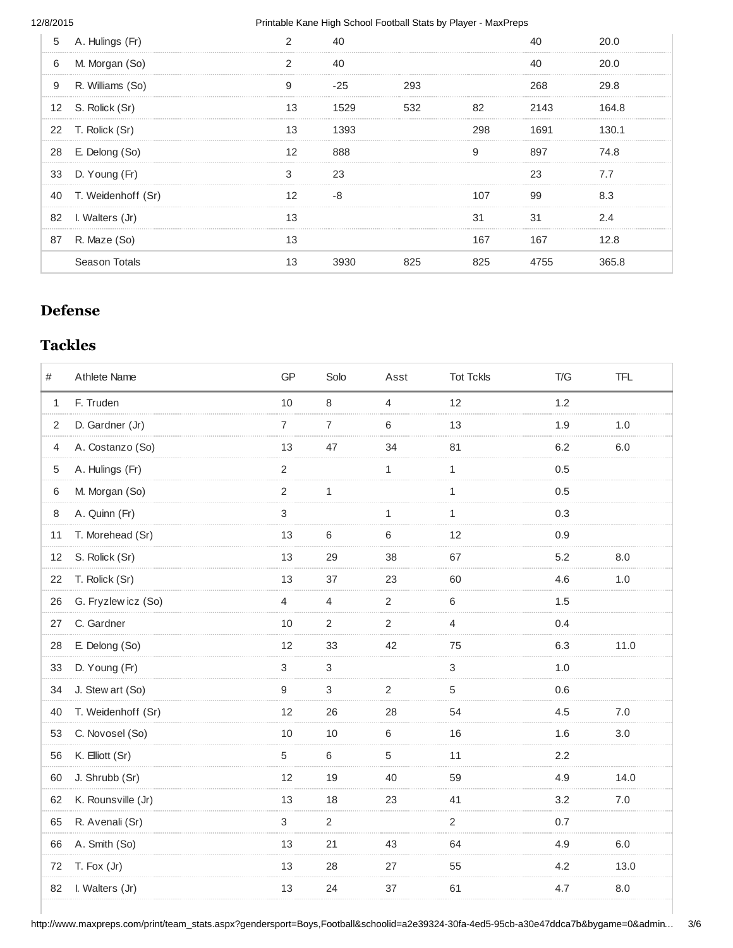#### 12/8/2015 **Printable Kane High School Football Stats by Player - MaxPreps**

| 5  | A. Hulings (Fr)    |               |      |     |     |      |       |
|----|--------------------|---------------|------|-----|-----|------|-------|
| 6  | M. Morgan (So)     | $\mathcal{P}$ | 40   |     |     |      | 20 O  |
| 9  | R. Williams (So)   | 9             | -25  | 293 |     | 268  | 29 R  |
|    | 12 S. Rolick (Sr)  | 13            | 1529 | 532 |     | 2143 | 164.8 |
|    | 22 T. Rolick (Sr)  | 13            | 1393 |     |     | 1691 | 130.1 |
| 28 | E. Delong (So)     | 12            | 888  |     | q   | 897  | 74.8  |
|    | 33 D. Young (Fr)   | 3             | 23   |     |     |      |       |
| 40 | T. Weidenhoff (Sr) |               |      |     | 107 | gg   |       |
| 82 | I. Walters (Jr)    |               |      |     | 31  |      | 24    |
| 87 | R. Maze (So)       |               |      |     | 167 | 167  | 12.8  |
|    | Season Totals      | 13            |      |     |     |      |       |

## **Defense**

## **Tackles**

| #            | Athlete Name        | GP             | Solo           | Asst           | <b>Tot Tckls</b> | T/G | <b>TFL</b> |
|--------------|---------------------|----------------|----------------|----------------|------------------|-----|------------|
| $\mathbf{1}$ | F. Truden           | 10             | 8              | 4              | 12               | 1.2 |            |
| 2            | D. Gardner (Jr)     | $\overline{7}$ | $\overline{7}$ | 6              | 13               | 1.9 | 1.0        |
| 4            | A. Costanzo (So)    | 13             | 47             | 34             | 81               | 6.2 | 6.0        |
| 5            | A. Hulings (Fr)     | 2              |                | $\mathbf{1}$   | $\mathbf{1}$     | 0.5 |            |
| 6            | M. Morgan (So)      | $\overline{2}$ | 1              |                | $\mathbf{1}$     | 0.5 |            |
| 8            | A. Quinn (Fr)       | 3              |                | $\mathbf 1$    | $\mathbf{1}$     | 0.3 |            |
| 11           | T. Morehead (Sr)    | 13             | 6              | 6              | 12               | 0.9 |            |
| 12           | S. Rolick (Sr)      | 13             | 29             | 38             | 67               | 5.2 | 8.0        |
| 22           | T. Rolick (Sr)      | 13             | 37             | 23             | 60               | 4.6 | 1.0        |
| 26           | G. Fryzlew icz (So) | 4              | 4              | $\overline{2}$ | 6                | 1.5 |            |
| 27           | C. Gardner          | 10             | $\overline{2}$ | $\overline{2}$ | 4                | 0.4 |            |
| 28           | E. Delong (So)      | 12             | 33             | 42             | 75               | 6.3 | 11.0       |
| 33           | D. Young (Fr)       | 3              | 3              |                | 3                | 1.0 |            |
| 34           | J. Stew art (So)    | 9              | 3              | $\overline{c}$ | 5                | 0.6 |            |
| 40           | T. Weidenhoff (Sr)  | 12             | 26             | 28             | 54               | 4.5 | 7.0        |
| 53           | C. Novosel (So)     | 10             | 10             | 6              | 16               | 1.6 | 3.0        |
| 56           | K. Elliott (Sr)     | 5              | 6              | 5              | 11               | 2.2 |            |
| 60           | J. Shrubb (Sr)      | 12             | 19             | 40             | 59               | 4.9 | 14.0       |
| 62           | K. Rounsville (Jr)  | 13             | 18             | 23             | 41               | 3.2 | 7.0        |
| 65           | R. Avenali (Sr)     | 3              | $\overline{2}$ |                | $\overline{2}$   | 0.7 |            |
| 66           | A. Smith (So)       | 13             | 21             | 43             | 64               | 4.9 | 6.0        |
| 72           | T. Fox (Jr)         | 13             | 28             | 27             | 55               | 4.2 | 13.0       |
| 82           | I. Walters (Jr)     | 13             | 24             | 37             | 61               | 4.7 | 8.0        |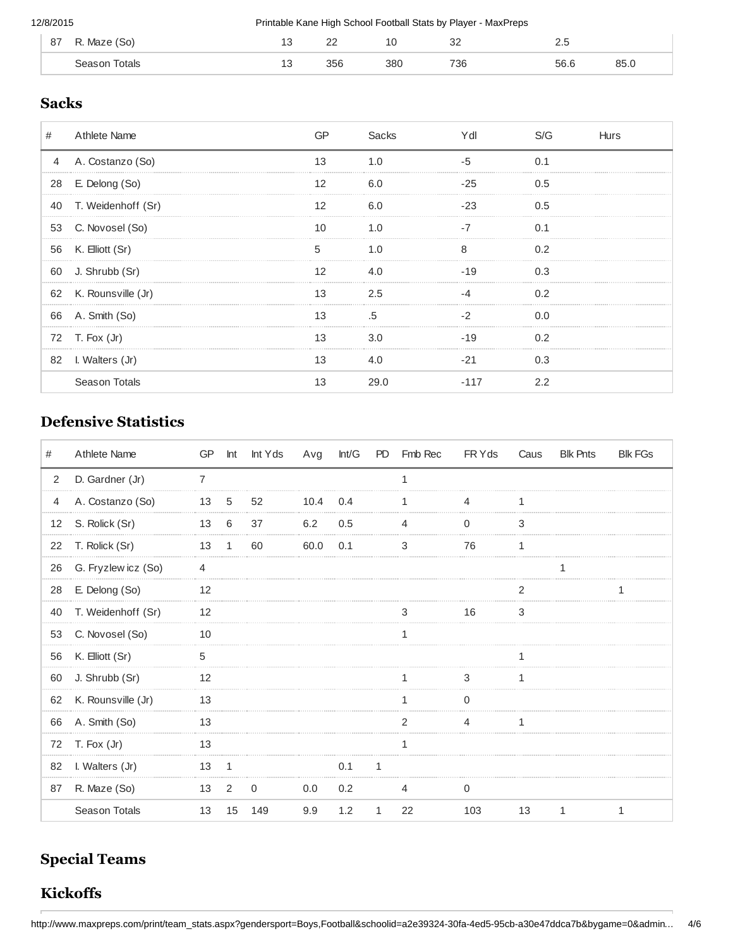| 87 | R. Maze (So) | --<br>$\sim$ | n r<br>-- | --<br>__ | n,<br>ັ<br>$\sim$ | <u>.</u><br>$\sim$ |    |
|----|--------------|--------------|-----------|----------|-------------------|--------------------|----|
|    | otals        | --           | 356       | 380      | 736               | 56.                | oΕ |

## **Sacks**

| #              | Athlete Name       | GР | Sacks | /dl  | S/G | Hurs |
|----------------|--------------------|----|-------|------|-----|------|
| $\overline{4}$ | A. Costanzo (So)   | 13 |       |      | 0.1 |      |
| 28             | E. Delong (So)     | 12 | 6.0   | -25  | 0.5 |      |
| 40             | T. Weidenhoff (Sr) |    | 6 በ   | -23  | 0.5 |      |
| 53             | C. Novosel (So)    | 10 |       |      | 0.1 |      |
| 56             | K. Elliott (Sr)    |    | 1 ∩   |      |     |      |
| 60             | J. Shrubb (Sr)     | 12 | 4 N   | -19  | 0.3 |      |
| 62             | K. Rounsville (Jr) | 13 | 2.5   |      | 0.2 |      |
| 66             | A. Smith (So)      | 13 | .5    |      | ი ი |      |
|                | 72 T. Fox (Jr)     | 13 | 3.0   | -19  | 0.2 |      |
|                | 82 I. Walters (Jr) | 13 | 4.0   |      | 0.3 |      |
|                | Season Totals      | 13 | 29.0  | -117 |     |      |

## **Defensive Statistics**

| #  | Athlete Name        |      | GP Int | Int Yds | Avg  | Int/G |              | PD Fmb Rec | FR Y ds |    | Caus Blk Pnts | <b>Blk FGs</b> |
|----|---------------------|------|--------|---------|------|-------|--------------|------------|---------|----|---------------|----------------|
| 2  | D. Gardner (Jr)     | 7    |        |         |      |       |              | 1          |         |    |               |                |
| 4  | A. Costanzo (So)    | 13   | 5      | 52      | 10.4 | 0.4   |              |            |         |    |               |                |
| 12 | S. Rolick (Sr)      | 13   | 6      | 37      | 6.2  | 0.5   |              | 4          | 0       | 3  |               |                |
| 22 | T. Rolick (Sr)      | 13   | 1      | 60      | 60.0 | 0.1   |              | 3          | 76      | 1  |               |                |
| 26 | G. Fryzlew icz (So) | 4    |        |         |      |       |              |            |         |    |               |                |
| 28 | E. Delong (So)      | 12   |        |         |      |       |              |            |         |    |               |                |
| 40 | T. Weidenhoff (Sr)  | 12   |        |         |      |       |              | 3          | 16      | 3  |               |                |
| 53 | C. Novosel (So)     | 10   |        |         |      |       |              | 1          |         |    |               |                |
| 56 | K. Elliott (Sr)     | 5    |        |         |      |       |              |            |         | 1  |               |                |
| 60 | J. Shrubb (Sr)      | 12   |        |         |      |       |              |            | 3       | 1  |               |                |
| 62 | K. Rounsville (Jr)  | 13   |        |         |      |       |              |            | O       |    |               |                |
| 66 | A. Smith (So)       | 13   |        |         |      |       |              |            |         |    |               |                |
|    | 72 T. Fox (Jr)      | 13   |        |         |      |       |              | 1          |         |    |               |                |
| 82 | I. Walters (Jr)     | 13 1 |        |         |      | 0.1   | 1            |            |         |    |               |                |
| 87 | R. Maze (So)        | 13   | 2      | 0       | 0.0  | 0.2   |              | 4          | 0       |    |               |                |
|    | Season Totals       | 13   | 15     | 149     | 9.9  | 1.2   | $\mathbf{1}$ | 22         | 103     | 13 | $\mathbf{1}$  | 1              |

# **Special Teams**

## **Kickoffs**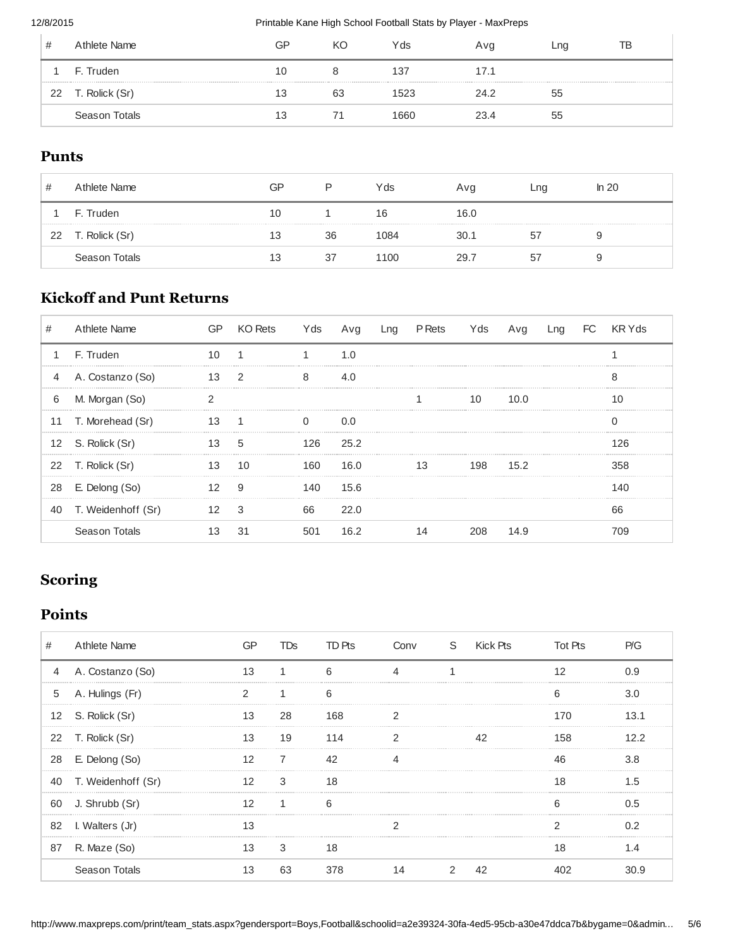#### 12/8/2015 **Printable Kane High School Football Stats by Player - MaxPreps**

| #  | Athlete Name   | GP | KС | Yds  | Avg  | ∟no | ΓВ |
|----|----------------|----|----|------|------|-----|----|
|    | F. Truden      | 10 |    | 137  | 17.1 |     |    |
| 22 | T. Rolick (Sr) | 13 | 63 | 1523 | 24.2 | ხხ  |    |
|    | Season Totals  | 13 |    | 1660 | 23.4 | ხხ  |    |

### **Punts**

| #  | Athlete Name   | GP | P  | Yds  | Avg  | Lng | ln 20 |
|----|----------------|----|----|------|------|-----|-------|
|    | F. Truden      | 10 |    | 16   | 16.0 |     |       |
| 22 | T. Rolick (Sr) | 13 | 36 | 1084 | 30.1 | 57  | У     |
|    | Season Totals  | 13 | 37 | 1100 | 29.7 | 57  | У     |

## **Kickoff and Punt Returns**

| #            | Athlete Name        |      | KO Rets       | Yds  | Avg      | Lng | P Rets | Yds | Avg  | Lng | FC KRYds |
|--------------|---------------------|------|---------------|------|----------|-----|--------|-----|------|-----|----------|
| $\mathbf{1}$ | F. Truden           |      |               |      | 1.0      |     |        |     |      |     |          |
| 4            | A. Costanzo (So)    | 13 2 |               | 8    |          |     |        |     |      |     | C<br>ň   |
| 6            | M. Morgan (So)      |      |               |      |          |     |        | 10  | 10 O |     |          |
|              | 11 T. Morehead (Sr) |      |               |      |          |     |        |     |      |     |          |
|              | 12 S. Rolick (Sr)   | 13 5 |               |      | 126 25.2 |     |        |     |      |     |          |
|              | 22 T. Rolick (Sr)   | 13   | 10            |      | 160 16.0 |     | 13     | 198 | 15.2 |     | 358      |
| 28           | E. Delong (So)      | 12   | 9             | 140. | 15.6     |     |        |     |      |     |          |
| 40           | T. Weidenhoff (Sr)  |      | $\mathcal{S}$ | 66   | 22.0     |     |        |     |      |     | 66       |
|              | Season Totals       |      |               | 501  | 16.2     |     |        | 208 |      |     |          |

## **Scoring**

## **Points**

| #              | Athlete Name       |    | TDs. | TD Pts | Conv S Kick Pts |  | <b>Tot Pts</b> | P/G  |
|----------------|--------------------|----|------|--------|-----------------|--|----------------|------|
| $\overline{4}$ | A. Costanzo (So)   | 13 |      | 6      |                 |  |                | n 9  |
| 5              | A. Hulings (Fr)    |    |      | 6      |                 |  | h              | 3.0  |
|                | 12 S. Rolick (Sr)  | 13 | 28   | 168    |                 |  | 17N            | 13 1 |
|                | 22 T. Rolick (Sr)  | 13 | 19   | 114    |                 |  | 158            |      |
|                | 28 E. Delong (So)  | 12 |      |        |                 |  | 46             | 3.8  |
| 40             | T. Weidenhoff (Sr) |    | 3    | 18     |                 |  | 18             |      |
| 60             | J. Shrubb (Sr)     |    |      | հ      |                 |  |                | በ 5  |
|                | 82 I. Walters (Jr) |    |      |        |                 |  |                |      |
| 87             | R. Maze (So)       | 13 | 3    | 18     |                 |  | 18             |      |
|                | Season Totals      |    | 63   |        |                 |  |                |      |